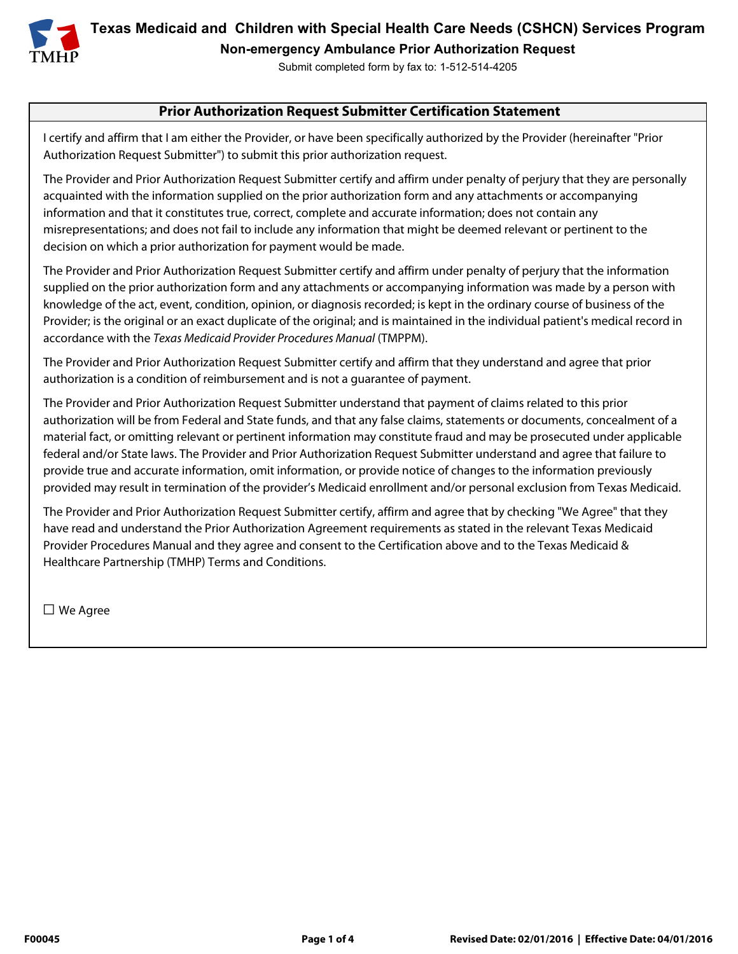

**Texas Medicaid and Children with Special Health Care Needs (CSHCN) Services Program Non-emergency Ambulance Prior Authorization Request** 

Submit completed form by fax to: 1-512-514-4205

### **Prior Authorization Request Submitter Certification Statement**

I certify and affirm that I am either the Provider, or have been specifically authorized by the Provider (hereinafter "Prior Authorization Request Submitter") to submit this prior authorization request.

The Provider and Prior Authorization Request Submitter certify and affirm under penalty of perjury that they are personally acquainted with the information supplied on the prior authorization form and any attachments or accompanying information and that it constitutes true, correct, complete and accurate information; does not contain any misrepresentations; and does not fail to include any information that might be deemed relevant or pertinent to the decision on which a prior authorization for payment would be made.

The Provider and Prior Authorization Request Submitter certify and affirm under penalty of perjury that the information supplied on the prior authorization form and any attachments or accompanying information was made by a person with knowledge of the act, event, condition, opinion, or diagnosis recorded; is kept in the ordinary course of business of the Provider; is the original or an exact duplicate of the original; and is maintained in the individual patient's medical record in accordance with the Texas Medicaid Provider Procedures Manual (TMPPM).

The Provider and Prior Authorization Request Submitter certify and affirm that they understand and agree that prior authorization is a condition of reimbursement and is not a guarantee of payment.

The Provider and Prior Authorization Request Submitter understand that payment of claims related to this prior authorization will be from Federal and State funds, and that any false claims, statements or documents, concealment of a material fact, or omitting relevant or pertinent information may constitute fraud and may be prosecuted under applicable federal and/or State laws. The Provider and Prior Authorization Request Submitter understand and agree that failure to provide true and accurate information, omit information, or provide notice of changes to the information previously provided may result in termination of the provider's Medicaid enrollment and/or personal exclusion from Texas Medicaid.

The Provider and Prior Authorization Request Submitter certify, affirm and agree that by checking "We Agree" that they have read and understand the Prior Authorization Agreement requirements as stated in the relevant Texas Medicaid Provider Procedures Manual and they agree and consent to the Certification above and to the Texas Medicaid & Healthcare Partnership (TMHP) Terms and Conditions.

□ We Agree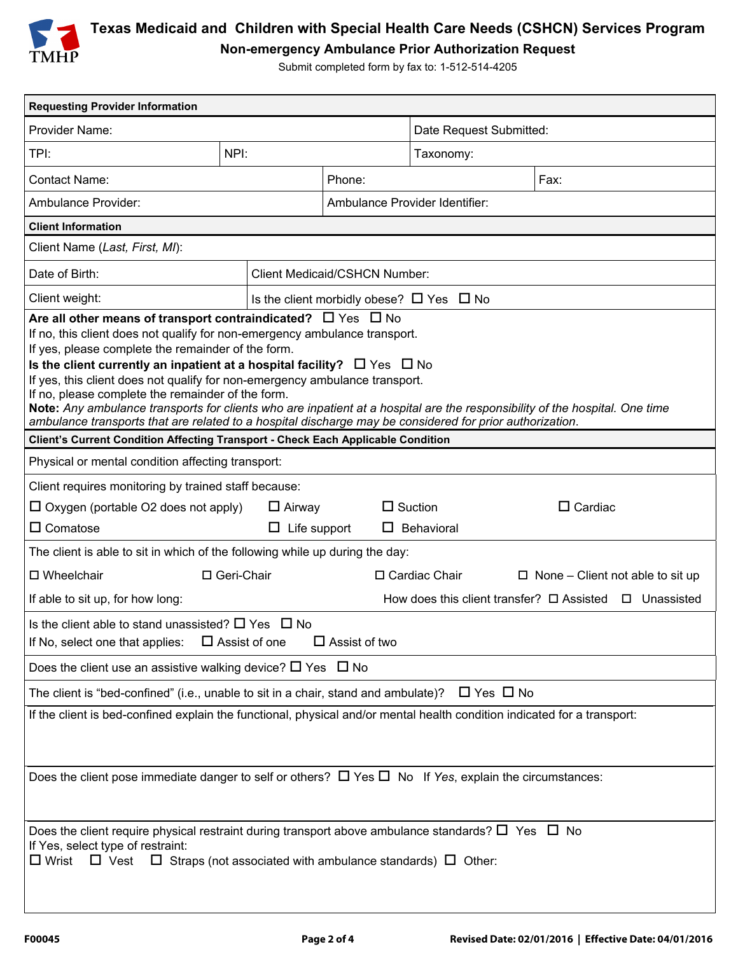

## **Texas Medicaid and Children with Special Health Care Needs (CSHCN) Services Program Non-emergency Ambulance Prior Authorization Request**

Submit completed form by fax to: 1-512-514-4205

| <b>Requesting Provider Information</b>                                                                                                                                                                                                                                                                                                                                                                                                                                                                                                                                                                                                                                         |      |                                                    |                                                            |                |  |
|--------------------------------------------------------------------------------------------------------------------------------------------------------------------------------------------------------------------------------------------------------------------------------------------------------------------------------------------------------------------------------------------------------------------------------------------------------------------------------------------------------------------------------------------------------------------------------------------------------------------------------------------------------------------------------|------|----------------------------------------------------|------------------------------------------------------------|----------------|--|
| Provider Name:                                                                                                                                                                                                                                                                                                                                                                                                                                                                                                                                                                                                                                                                 |      |                                                    | Date Request Submitted:                                    |                |  |
| TPI:                                                                                                                                                                                                                                                                                                                                                                                                                                                                                                                                                                                                                                                                           | NPI: |                                                    | Taxonomy:                                                  |                |  |
| <b>Contact Name:</b>                                                                                                                                                                                                                                                                                                                                                                                                                                                                                                                                                                                                                                                           |      | Fax:<br>Phone:                                     |                                                            |                |  |
| Ambulance Provider:                                                                                                                                                                                                                                                                                                                                                                                                                                                                                                                                                                                                                                                            |      | Ambulance Provider Identifier:                     |                                                            |                |  |
| <b>Client Information</b>                                                                                                                                                                                                                                                                                                                                                                                                                                                                                                                                                                                                                                                      |      |                                                    |                                                            |                |  |
| Client Name (Last, First, MI):                                                                                                                                                                                                                                                                                                                                                                                                                                                                                                                                                                                                                                                 |      |                                                    |                                                            |                |  |
| Date of Birth:                                                                                                                                                                                                                                                                                                                                                                                                                                                                                                                                                                                                                                                                 |      | <b>Client Medicaid/CSHCN Number:</b>               |                                                            |                |  |
| Client weight:                                                                                                                                                                                                                                                                                                                                                                                                                                                                                                                                                                                                                                                                 |      | Is the client morbidly obese? $\Box$ Yes $\Box$ No |                                                            |                |  |
| Are all other means of transport contraindicated? $\Box$ Yes $\Box$ No<br>If no, this client does not qualify for non-emergency ambulance transport.<br>If yes, please complete the remainder of the form.<br>Is the client currently an inpatient at a hospital facility? $\Box$ Yes $\Box$ No<br>If yes, this client does not qualify for non-emergency ambulance transport.<br>If no, please complete the remainder of the form.<br>Note: Any ambulance transports for clients who are inpatient at a hospital are the responsibility of the hospital. One time<br>ambulance transports that are related to a hospital discharge may be considered for prior authorization. |      |                                                    |                                                            |                |  |
| Client's Current Condition Affecting Transport - Check Each Applicable Condition                                                                                                                                                                                                                                                                                                                                                                                                                                                                                                                                                                                               |      |                                                    |                                                            |                |  |
| Physical or mental condition affecting transport:                                                                                                                                                                                                                                                                                                                                                                                                                                                                                                                                                                                                                              |      |                                                    |                                                            |                |  |
| Client requires monitoring by trained staff because:<br>$\Box$ Oxygen (portable O2 does not apply)<br>$\Box$ Airway<br>$\Box$ Comatose<br>$\Box$ Life support                                                                                                                                                                                                                                                                                                                                                                                                                                                                                                                  |      | ப                                                  | $\Box$ Suction<br>Behavioral                               | $\Box$ Cardiac |  |
| The client is able to sit in which of the following while up during the day:                                                                                                                                                                                                                                                                                                                                                                                                                                                                                                                                                                                                   |      |                                                    |                                                            |                |  |
| $\square$ Wheelchair<br>□ Geri-Chair                                                                                                                                                                                                                                                                                                                                                                                                                                                                                                                                                                                                                                           |      |                                                    | □ Cardiac Chair<br>$\Box$ None – Client not able to sit up |                |  |
| If able to sit up, for how long:<br>How does this client transfer? $\Box$ Assisted $\Box$ Unassisted                                                                                                                                                                                                                                                                                                                                                                                                                                                                                                                                                                           |      |                                                    |                                                            |                |  |
| Is the client able to stand unassisted? $\Box$ Yes $\Box$ No<br>If No, select one that applies:<br>$\Box$ Assist of one<br>$\Box$ Assist of two                                                                                                                                                                                                                                                                                                                                                                                                                                                                                                                                |      |                                                    |                                                            |                |  |
| Does the client use an assistive walking device? $\square$ Yes $\square$ No                                                                                                                                                                                                                                                                                                                                                                                                                                                                                                                                                                                                    |      |                                                    |                                                            |                |  |
| The client is "bed-confined" (i.e., unable to sit in a chair, stand and ambulate)? $\Box$ Yes $\Box$ No                                                                                                                                                                                                                                                                                                                                                                                                                                                                                                                                                                        |      |                                                    |                                                            |                |  |
| If the client is bed-confined explain the functional, physical and/or mental health condition indicated for a transport:                                                                                                                                                                                                                                                                                                                                                                                                                                                                                                                                                       |      |                                                    |                                                            |                |  |
| Does the client pose immediate danger to self or others? $\Box$ Yes $\Box$ No If Yes, explain the circumstances:                                                                                                                                                                                                                                                                                                                                                                                                                                                                                                                                                               |      |                                                    |                                                            |                |  |
| Does the client require physical restraint during transport above ambulance standards? $\square$ Yes $\square$ No<br>If Yes, select type of restraint:<br>$\Box$ Wrist $\Box$ Vest $\Box$ Straps (not associated with ambulance standards) $\Box$ Other:                                                                                                                                                                                                                                                                                                                                                                                                                       |      |                                                    |                                                            |                |  |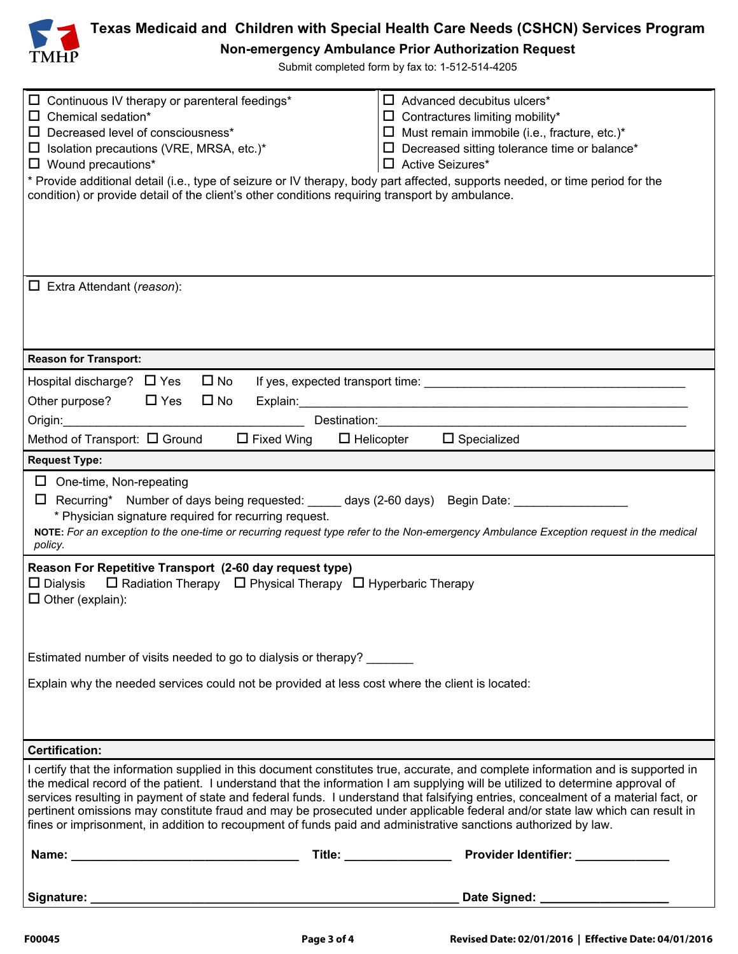

# **Texas Medicaid and Children with Special Health Care Needs (CSHCN) Services Program**

**Non-emergency Ambulance Prior Authorization Request** 

Submit completed form by fax to: 1-512-514-4205

| $\Box$ Continuous IV therapy or parenteral feedings*<br>$\Box$ Advanced decubitus ulcers <sup>*</sup><br>$\Box$ Chemical sedation*<br>$\Box$ Contractures limiting mobility*<br>$\Box$ Must remain immobile (i.e., fracture, etc.)*<br>Decreased level of consciousness*<br>$\Box$<br>$\Box$ Decreased sitting tolerance time or balance*<br>$\Box$ Isolation precautions (VRE, MRSA, etc.)*<br>$\Box$ Wound precautions*<br>□ Active Seizures*<br>* Provide additional detail (i.e., type of seizure or IV therapy, body part affected, supports needed, or time period for the<br>condition) or provide detail of the client's other conditions requiring transport by ambulance. |  |  |  |  |
|-------------------------------------------------------------------------------------------------------------------------------------------------------------------------------------------------------------------------------------------------------------------------------------------------------------------------------------------------------------------------------------------------------------------------------------------------------------------------------------------------------------------------------------------------------------------------------------------------------------------------------------------------------------------------------------|--|--|--|--|
| $\Box$ Extra Attendant ( <i>reason</i> ):                                                                                                                                                                                                                                                                                                                                                                                                                                                                                                                                                                                                                                           |  |  |  |  |
| <b>Reason for Transport:</b>                                                                                                                                                                                                                                                                                                                                                                                                                                                                                                                                                                                                                                                        |  |  |  |  |
| Hospital discharge? □ Yes □ No<br>Other purpose? $\Box$ Yes $\Box$ No<br>Origin:<br>Destination: the contract of the contract of the contract of the contract of the contract of the contract of the contract of the contract of the contract of the contract of the contract of the contract of the contract of t<br>Method of Transport: $\Box$ Ground<br>$\Box$ Fixed Wing $\Box$ Helicopter $\Box$ Specialized                                                                                                                                                                                                                                                                  |  |  |  |  |
| <b>Request Type:</b>                                                                                                                                                                                                                                                                                                                                                                                                                                                                                                                                                                                                                                                                |  |  |  |  |
| $\Box$ One-time, Non-repeating<br>□ Recurring* Number of days being requested: _____ days (2-60 days) Begin Date: ___________________<br>* Physician signature required for recurring request.<br>NOTE: For an exception to the one-time or recurring request type refer to the Non-emergency Ambulance Exception request in the medical<br>policy.                                                                                                                                                                                                                                                                                                                                 |  |  |  |  |
| Reason For Repetitive Transport (2-60 day request type)<br>$\Box$ Radiation Therapy $\Box$ Physical Therapy $\Box$ Hyperbaric Therapy<br>$\square$ Dialysis<br>$\Box$ Other (explain):                                                                                                                                                                                                                                                                                                                                                                                                                                                                                              |  |  |  |  |
| Estimated number of visits needed to go to dialysis or therapy?                                                                                                                                                                                                                                                                                                                                                                                                                                                                                                                                                                                                                     |  |  |  |  |
| Explain why the needed services could not be provided at less cost where the client is located:                                                                                                                                                                                                                                                                                                                                                                                                                                                                                                                                                                                     |  |  |  |  |
| <b>Certification:</b>                                                                                                                                                                                                                                                                                                                                                                                                                                                                                                                                                                                                                                                               |  |  |  |  |
| I certify that the information supplied in this document constitutes true, accurate, and complete information and is supported in<br>the medical record of the patient. I understand that the information I am supplying will be utilized to determine approval of<br>services resulting in payment of state and federal funds. I understand that falsifying entries, concealment of a material fact, or<br>pertinent omissions may constitute fraud and may be prosecuted under applicable federal and/or state law which can result in<br>fines or imprisonment, in addition to recoupment of funds paid and administrative sanctions authorized by law.                          |  |  |  |  |
|                                                                                                                                                                                                                                                                                                                                                                                                                                                                                                                                                                                                                                                                                     |  |  |  |  |
|                                                                                                                                                                                                                                                                                                                                                                                                                                                                                                                                                                                                                                                                                     |  |  |  |  |